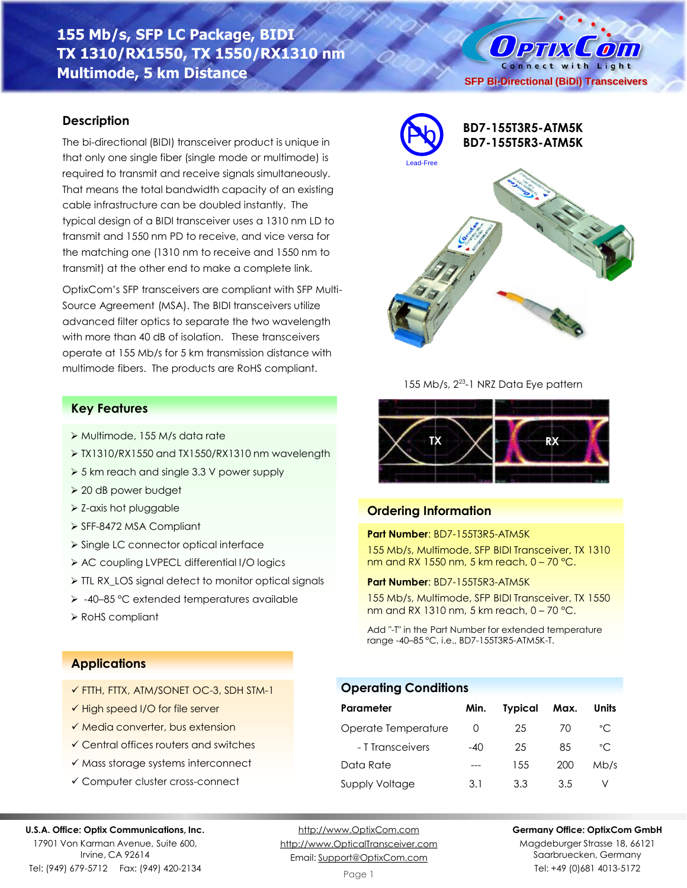# **155 Mb/s, SFP LC Package, BIDI TX 1310/RX1550, TX 1550/RX1310 nm Multimode, 5 km Distance**

### **Description**

The bi-directional (BIDI) transceiver product is unique in that only one single fiber (single mode or multimode) is required to transmit and receive signals simultaneously. That means the total bandwidth capacity of an existing cable infrastructure can be doubled instantly. The typical design of a BIDI transceiver uses a 1310 nm LD to transmit and 1550 nm PD to receive, and vice versa for the matching one (1310 nm to receive and 1550 nm to transmit) at the other end to make a complete link.

OptixCom's SFP transceivers are compliant with SFP Multi-Source Agreement (MSA). The BIDI transceivers utilize advanced filter optics to separate the two wavelength with more than 40 dB of isolation. These transceivers operate at 155 Mb/s for 5 km transmission distance with multimode fibers. The products are RoHS compliant.

### **Key Features**

- ➢ Multimode, 155 M/s data rate
- ➢ TX1310/RX1550 and TX1550/RX1310 nm wavelength
- ➢ 5 km reach and single 3.3 V power supply
- ➢ 20 dB power budget
- ➢ Z-axis hot pluggable
- ➢ SFF-8472 MSA Compliant
- ➢ Single LC connector optical interface
- ➢ AC coupling LVPECL differential I/O logics
- ➢ TTL RX\_LOS signal detect to monitor optical signals
- ➢ -40–85 °C extended temperatures available
- ➢ RoHS compliant



155 Mb/s, 2<sup>23</sup>-1 NRZ Data Eye pattern



# **Ordering Information**

**Operating Conditions**

### **Part Number**: BD7-155T3R5-ATM5K

155 Mb/s, Multimode, SFP BIDI Transceiver, TX 1310 nm and RX 1550 nm, 5 km reach, 0 – 70 °C.

**Part Number**: BD7-155T5R3-ATM5K

155 Mb/s, Multimode, SFP BIDI Transceiver, TX 1550 nm and RX 1310 nm, 5 km reach, 0 – 70 °C.

Add "-T" in the Part Number for extended temperature range -40–85 °C, i.e., BD7-155T3R5-ATM5K-T.

**Parameter Min. Typical Max. Units** Operate Temperature 0 25 70 °C - T Transceivers -40 25 85 °C Data Rate --- 155 200 Mb/s Supply Voltage 3.1 3.3 3.5 V

# **Applications**

- ✓ FTTH, FTTX, ATM/SONET OC-3, SDH STM-1
- ✓ High speed I/O for file server
- ✓ Media converter, bus extension
- ✓ Central offices routers and switches
- ✓ Mass storage systems interconnect
- ✓ Computer cluster cross-connect

#### **U.S.A. Office: Optix Communications, Inc.**

17901 Von Karman Avenue, Suite 600, Irvine, CA 92614

Tel: (949) 679-5712 Fax: (949) 420-2134

[http://www.OptixCom.com](http://www.optixcom.com/) [http://www.OpticalTransceiver.com](http://www.optoictech.com/) Email: [Support@OptixCom.com](mailto:Support@optoICtech.com)

### **Germany Office: OptixCom GmbH**

Magdeburger Strasse 18, 66121 Saarbruecken, Germany Tel: +49 (0)681 4013-5172

O PTIX COM Connect with Light **SFP Bi-Directional (BiDi) Transceivers**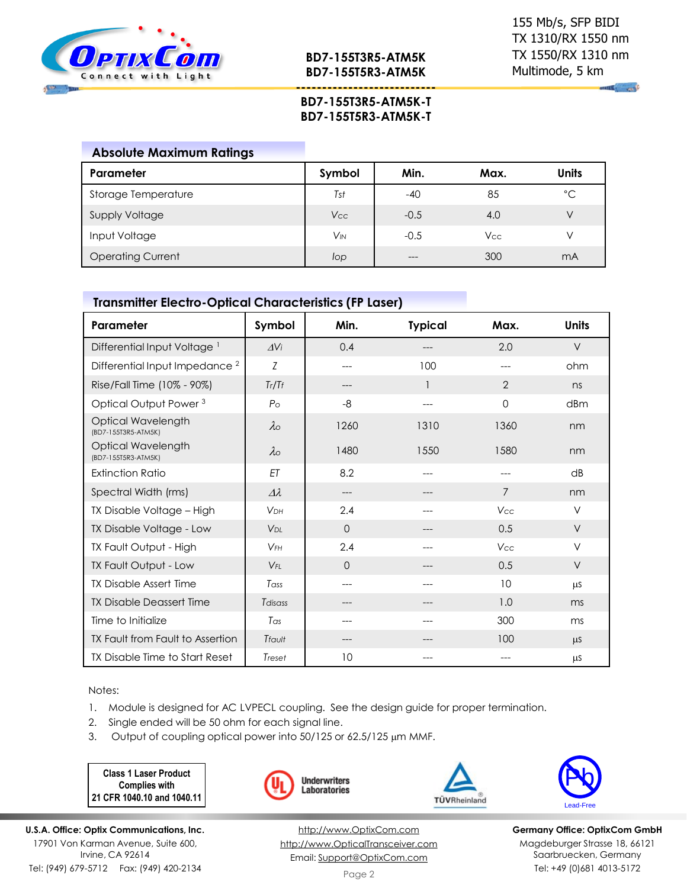

**BD7-155T3R5-ATM5K BD7-155T5R3-ATM5K**

**---------------------------**

*Contract* 

## **BD7-155T3R5-ATM5K-T BD7-155T5R3-ATM5K-T**

| <b>Absolute Maximum Ratings</b> |                       |        |            |       |
|---------------------------------|-----------------------|--------|------------|-------|
| Parameter                       | Symbol                | Min.   | Max.       | Units |
| Storage Temperature             | Tst                   | $-40$  | 85         | °C    |
| <b>Supply Voltage</b>           | Vcc                   | $-0.5$ | 4.0        | V     |
| Input Voltage                   | <b>V<sub>IN</sub></b> | $-0.5$ | <b>Vcc</b> | V     |
| <b>Operating Current</b>        | lop                   |        | 300        | mA    |

### **Transmitter Electro-Optical Characteristics (FP Laser)**

| Parameter                                 | Symbol          | Min.     | <b>Typical</b> | Max.           | <b>Units</b> |
|-------------------------------------------|-----------------|----------|----------------|----------------|--------------|
| Differential Input Voltage <sup>1</sup>   | $\Delta$ Vi     | 0.4      |                | 2.0            | $\vee$       |
| Differential Input Impedance <sup>2</sup> | Z               | ---      | 100            |                | ohm          |
| Rise/Fall Time (10% - 90%)                | Tr/Tr           | ---      |                | $\overline{2}$ | ns           |
| Optical Output Power <sup>3</sup>         | $P_{\rm O}$     | -8       |                | $\Omega$       | dBm          |
| Optical Wavelength<br>(BD7-155T3R5-ATM5K) | $\lambda$       | 1260     | 1310           | 1360           | nm           |
| Optical Wavelength<br>(BD7-155T5R3-ATM5K) | $\lambda$       | 1480     | 1550           | 1580           | nm           |
| <b>Extinction Ratio</b>                   | ET              | 8.2      | $---$          | $---$          | dB           |
| Spectral Width (rms)                      | $\Delta\lambda$ | ---      | ---            | 7              | nm           |
| TX Disable Voltage - High                 | <b>VDH</b>      | 2.4      | ---            | Vcc            | $\vee$       |
| TX Disable Voltage - Low                  | V <sub>DI</sub> | $\Omega$ |                | 0.5            | V            |
| TX Fault Output - High                    | $V$ FH          | 2.4      |                | Vcc            | V            |
| TX Fault Output - Low                     | $V_{FI}$        | $\Omega$ |                | 0.5            | $\vee$       |
| <b>TX Disable Assert Time</b>             | Tass            | ---      | ---            | 10             | <b>LLS</b>   |
| <b>TX Disable Deassert Time</b>           | Tdisass         | ---      |                | 1.0            | ms           |
| Time to Initialize                        | Tas             | ---      |                | 300            | ms           |
| TX Fault from Fault to Assertion          | Tfault          | ---      |                | 100            | <b>LLS</b>   |
| TX Disable Time to Start Reset            | Treset          | 10       |                |                | μS           |

Notes:

- 1. Module is designed for AC LVPECL coupling. See the design guide for proper termination.
- 2. Single ended will be 50 ohm for each signal line.
- 3. Output of coupling optical power into 50/125 or 62.5/125 µm MMF.

**Class 1 Laser Product Complies with 21 CFR 1040.10 and 1040.11**





**Underwriters** 

[http://www.OptixCom.com](http://www.optixcom.com/) [http://www.OpticalTransceiver.com](http://www.optoictech.com/) Email: [Support@OptixCom.com](mailto:Support@optoICtech.com)

TÜVRheinland



**Germany Office: OptixCom GmbH** Magdeburger Strasse 18, 66121 Saarbruecken, Germany Tel: +49 (0)681 4013-5172